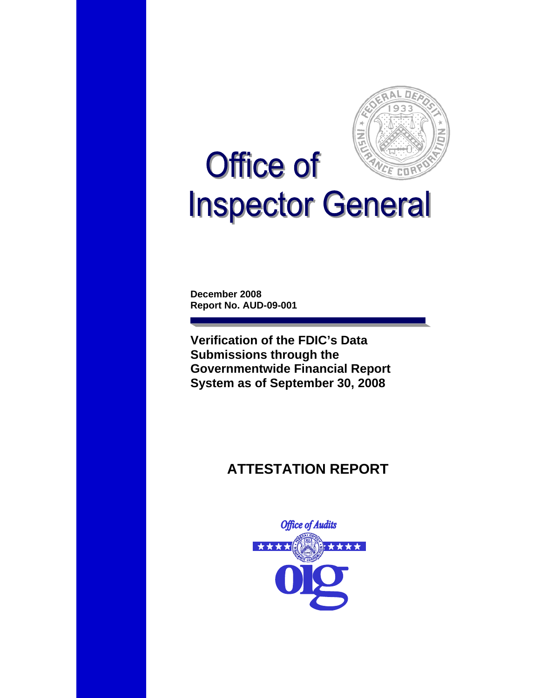

# **Office of**  $CD$ **Inspector General**

**December 2008 Report No. AUD-09-001** 

**Verification of the FDIC's Data Submissions through the Governmentwide Financial Report System as of September 30, 2008** 

# **ATTESTATION REPORT**

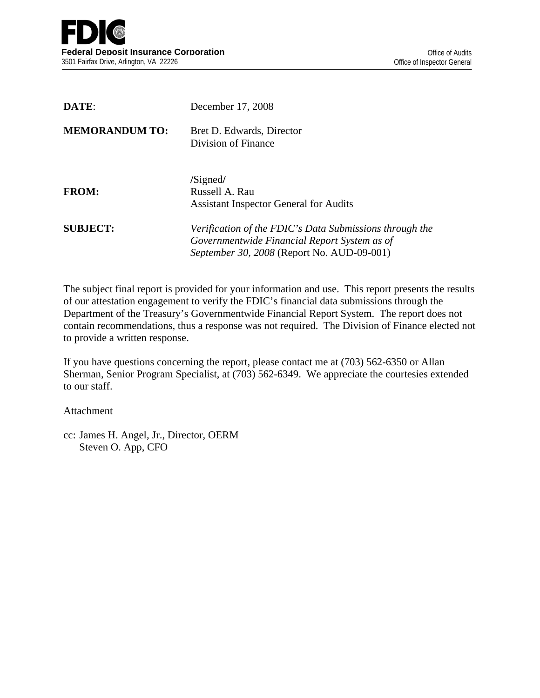| DATE:                 | December 17, 2008                                                                                                                                     |
|-----------------------|-------------------------------------------------------------------------------------------------------------------------------------------------------|
| <b>MEMORANDUM TO:</b> | Bret D. Edwards, Director<br>Division of Finance                                                                                                      |
| <b>FROM:</b>          | /Signed/<br>Russell A. Rau<br><b>Assistant Inspector General for Audits</b>                                                                           |
| <b>SUBJECT:</b>       | Verification of the FDIC's Data Submissions through the<br>Governmentwide Financial Report System as of<br>September 30, 2008 (Report No. AUD-09-001) |

The subject final report is provided for your information and use. This report presents the results of our attestation engagement to verify the FDIC's financial data submissions through the Department of the Treasury's Governmentwide Financial Report System. The report does not contain recommendations, thus a response was not required. The Division of Finance elected not to provide a written response.

If you have questions concerning the report, please contact me at (703) 562-6350 or Allan Sherman, Senior Program Specialist, at (703) 562-6349. We appreciate the courtesies extended to our staff.

Attachment

cc: James H. Angel, Jr., Director, OERM Steven O. App, CFO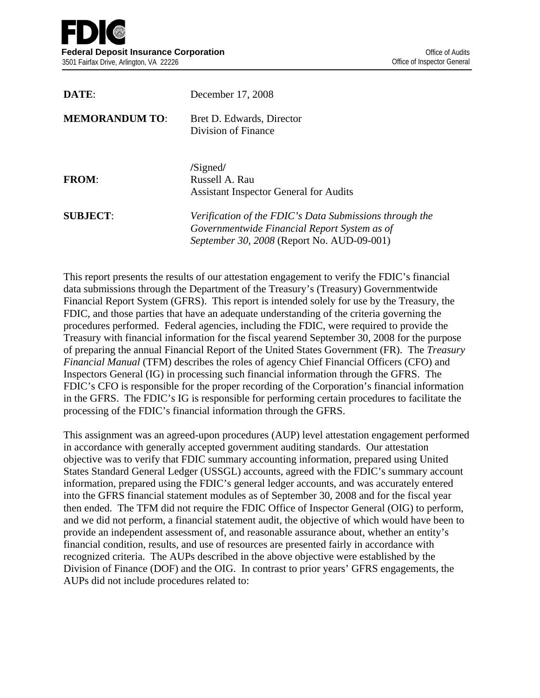| DATE:                 | December 17, 2008                                                                                                                                     |
|-----------------------|-------------------------------------------------------------------------------------------------------------------------------------------------------|
| <b>MEMORANDUM TO:</b> | Bret D. Edwards, Director<br>Division of Finance                                                                                                      |
| <b>FROM:</b>          | /Signed/<br>Russell A. Rau<br><b>Assistant Inspector General for Audits</b>                                                                           |
| <b>SUBJECT:</b>       | Verification of the FDIC's Data Submissions through the<br>Governmentwide Financial Report System as of<br>September 30, 2008 (Report No. AUD-09-001) |

This report presents the results of our attestation engagement to verify the FDIC's financial data submissions through the Department of the Treasury's (Treasury) Governmentwide Financial Report System (GFRS). This report is intended solely for use by the Treasury, the FDIC, and those parties that have an adequate understanding of the criteria governing the procedures performed. Federal agencies, including the FDIC, were required to provide the Treasury with financial information for the fiscal yearend September 30, 2008 for the purpose of preparing the annual Financial Report of the United States Government (FR). The *Treasury Financial Manual* (TFM) describes the roles of agency Chief Financial Officers (CFO) and Inspectors General (IG) in processing such financial information through the GFRS. The FDIC's CFO is responsible for the proper recording of the Corporation's financial information in the GFRS. The FDIC's IG is responsible for performing certain procedures to facilitate the processing of the FDIC's financial information through the GFRS.

This assignment was an agreed-upon procedures (AUP) level attestation engagement performed in accordance with generally accepted government auditing standards. Our attestation objective was to verify that FDIC summary accounting information, prepared using United States Standard General Ledger (USSGL) accounts, agreed with the FDIC's summary account information, prepared using the FDIC's general ledger accounts, and was accurately entered into the GFRS financial statement modules as of September 30, 2008 and for the fiscal year then ended. The TFM did not require the FDIC Office of Inspector General (OIG) to perform, and we did not perform, a financial statement audit, the objective of which would have been to provide an independent assessment of, and reasonable assurance about, whether an entity's financial condition, results, and use of resources are presented fairly in accordance with recognized criteria. The AUPs described in the above objective were established by the Division of Finance (DOF) and the OIG. In contrast to prior years' GFRS engagements, the AUPs did not include procedures related to: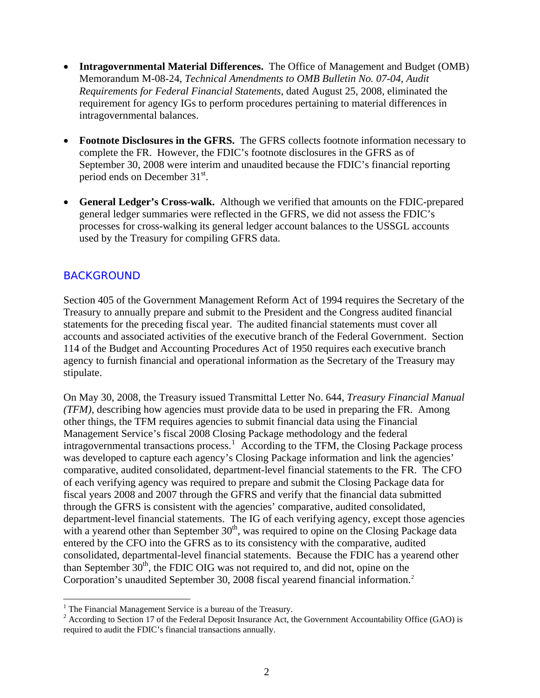- **Intragovernmental Material Differences.** The Office of Management and Budget (OMB) Memorandum M-08-24, *Technical Amendments to OMB Bulletin No. 07-04, Audit Requirements for Federal Financial Statements*, dated August 25, 2008, eliminated the requirement for agency IGs to perform procedures pertaining to material differences in intragovernmental balances.
- **Footnote Disclosures in the GFRS.** The GFRS collects footnote information necessary to complete the FR. However, the FDIC's footnote disclosures in the GFRS as of September 30, 2008 were interim and unaudited because the FDIC's financial reporting period ends on December 31<sup>st</sup>.
- **General Ledger's Cross-walk.** Although we verified that amounts on the FDIC-prepared general ledger summaries were reflected in the GFRS, we did not assess the FDIC's processes for cross-walking its general ledger account balances to the USSGL accounts used by the Treasury for compiling GFRS data.

## BACKGROUND

 $\overline{a}$ 

Section 405 of the Government Management Reform Act of 1994 requires the Secretary of the Treasury to annually prepare and submit to the President and the Congress audited financial statements for the preceding fiscal year. The audited financial statements must cover all accounts and associated activities of the executive branch of the Federal Government. Section 114 of the Budget and Accounting Procedures Act of 1950 requires each executive branch agency to furnish financial and operational information as the Secretary of the Treasury may stipulate.

On May 30, 2008, the Treasury issued Transmittal Letter No. 644, *Treasury Financial Manual (TFM),* describing how agencies must provide data to be used in preparing the FR. Among other things, the TFM requires agencies to submit financial data using the Financial Management Service's fiscal 2008 Closing Package methodology and the federal intragovernmental transactions process.<sup>[1](#page-3-0)</sup> According to the TFM, the Closing Package process was developed to capture each agency's Closing Package information and link the agencies' comparative, audited consolidated, department-level financial statements to the FR. The CFO of each verifying agency was required to prepare and submit the Closing Package data for fiscal years 2008 and 2007 through the GFRS and verify that the financial data submitted through the GFRS is consistent with the agencies' comparative, audited consolidated, department-level financial statements. The IG of each verifying agency, except those agencies with a yearend other than September  $30<sup>th</sup>$ , was required to opine on the Closing Package data entered by the CFO into the GFRS as to its consistency with the comparative, audited consolidated, departmental-level financial statements. Because the FDIC has a yearend other than September  $30<sup>th</sup>$ , the FDIC OIG was not required to, and did not, opine on the Corporation's unaudited September 30, 2008 fiscal yearend financial information.[2](#page-3-1)

<span id="page-3-0"></span><sup>&</sup>lt;sup>1</sup> The Financial Management Service is a bureau of the Treasury.

<span id="page-3-1"></span> $2 \text{ According to Section 17 of the Federal Deposit Insurance Act, the Government Accountability Office (GAO) is}$ required to audit the FDIC's financial transactions annually.